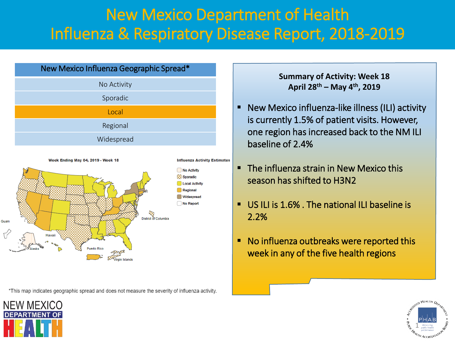# New Mexico Department of Health Influenza & Respiratory Disease Report, 2018-2019





\*This map indicates geographic spread and does not measure the severity of influenza activity.

#### **Summary of Activity: Week 18 April 28th – May 4th, 2019**

- **New Mexico influenza-like illness (ILI) activity** is currently 1.5% of patient visits. However, one region has increased back to the NM ILI baseline of 2.4%
- **The influenza strain in New Mexico this** season has shifted to H3N2
- US ILI is 1.6% . The national ILI baseline is 2.2%
- No influenza outbreaks were reported this week in any of the five health regions



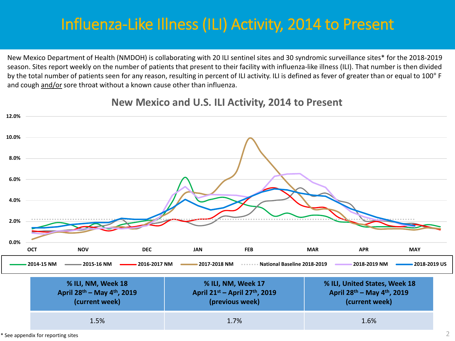# Influenza-Like Illness (ILI) Activity, 2014 to Present

New Mexico Department of Health (NMDOH) is collaborating with 20 ILI sentinel sites and 30 syndromic surveillance sites\* for the 2018-2019 season. Sites report weekly on the number of patients that present to their facility with influenza-like illness (ILI). That number is then divided by the total number of patients seen for any reason, resulting in percent of ILI activity. ILI is defined as fever of greater than or equal to 100° F and cough and/or sore throat without a known cause other than influenza.



### **New Mexico and U.S. ILI Activity, 2014 to Present**

 $*$  See appendix for reporting sites  $2$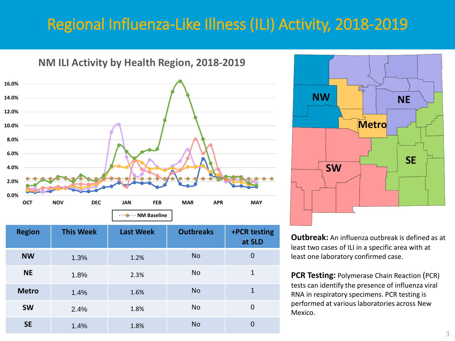## Regional Influenza-Like Illness (ILI) Activity, 2018-2019



| <b>Region</b> | <b>This Week</b> | <b>Last Week</b> | <b>Outbreaks</b> | +PCR testing<br>at SLD |
|---------------|------------------|------------------|------------------|------------------------|
| <b>NW</b>     | 1.3%             | 1.2%             | No               | 0                      |
| <b>NE</b>     | 1.8%             | 2.3%             | <b>No</b>        | 1                      |
| <b>Metro</b>  | 1.4%             | 1.6%             | <b>No</b>        | 1                      |
| <b>SW</b>     | 2.4%             | 1.8%             | <b>No</b>        | 0                      |
| <b>SE</b>     | 1.4%             | 1.8%             | <b>No</b>        | 0                      |



**Outbreak:** An influenza outbreak is defined as at least two cases of ILI in a specific area with at least one laboratory confirmed case.

**PCR Testing:** Polymerase Chain Reaction (PCR) tests can identify the presence of influenza viral RNA in respiratory specimens. PCR testing is performed at various laboratories across New Mexico.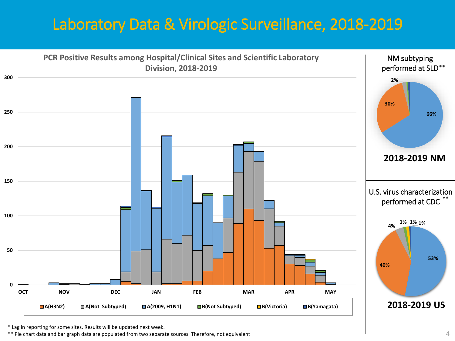## Laboratory Data & Virologic Surveillance, 2018-2019



\* Lag in reporting for some sites. Results will be updated next week.

\*\* Pie chart data and bar graph data are populated from two separate sources. Therefore, not equivalent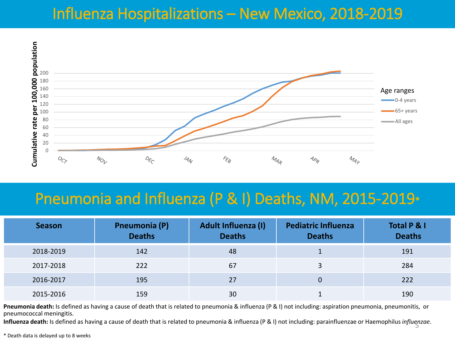## Influenza Hospitalizations – New Mexico, 2018-2019



### Pneumonia and Influenza (P & I) Deaths, NM, 2015-2019\*

| <b>Season</b> | <b>Pneumonia (P)</b><br><b>Deaths</b> | Adult Influenza (I)<br><b>Deaths</b> | <b>Pediatric Influenza</b><br><b>Deaths</b> | Total P & I<br><b>Deaths</b> |
|---------------|---------------------------------------|--------------------------------------|---------------------------------------------|------------------------------|
| 2018-2019     | 142                                   | 48                                   |                                             | 191                          |
| 2017-2018     | 222                                   | 67                                   |                                             | 284                          |
| 2016-2017     | 195                                   | 27                                   | 0                                           | 222                          |
| 2015-2016     | 159                                   | 30                                   |                                             | 190                          |

**Pneumonia death:** Is defined as having a cause of death that is related to pneumonia & influenza (P & I) not including: aspiration pneumonia, pneumonitis, or pneumococcal meningitis.

**Influenza death:** Is defined as having a cause of death that is related to pneumonia & influenza (P & I) not including: parainfluenzae or Haemophilus*influenzae*. 5

\* Death data is delayed up to 8 weeks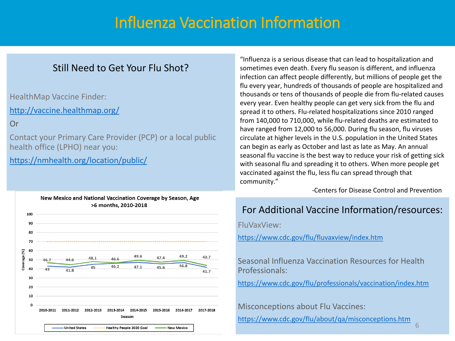## Influenza Vaccination Information

### Still Need to Get Your Flu Shot?

HealthMap Vaccine Finder:

<http://vaccine.healthmap.org/>

Or

Contact your Primary Care Provider (PCP) or a local public health office (LPHO) near you:

<https://nmhealth.org/location/public/>

![](_page_5_Figure_7.jpeg)

"Influenza is a serious disease that can lead to hospitalization and sometimes even death. Every flu season is different, and influenza infection can affect people differently, but millions of people get the flu every year, hundreds of thousands of people are hospitalized and thousands or tens of thousands of people die from flu-related causes every year. Even healthy people can get very sick from the flu and spread it to others. Flu-related hospitalizations since 2010 ranged from 140,000 to 710,000, while flu-related deaths are estimated to have ranged from 12,000 to 56,000. During flu season, flu viruses circulate at higher levels in the U.S. population in the United States can begin as early as October and last as late as May. An annual seasonal flu vaccine is the best way to reduce your risk of getting sick with seasonal flu and spreading it to others. When more people get vaccinated against the flu, less flu can spread through that community."

-Centers for Disease Control and Prevention

### For Additional Vaccine Information/resources:

FluVaxView:

<https://www.cdc.gov/flu/fluvaxview/index.htm>

Seasonal Influenza Vaccination Resources for Health Professionals:

<https://www.cdc.gov/flu/professionals/vaccination/index.htm>

Misconceptions about Flu Vaccines:

<https://www.cdc.gov/flu/about/qa/misconceptions.htm> 6